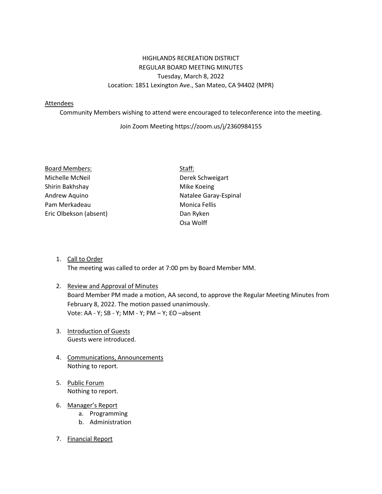## HIGHLANDS RECREATION DISTRICT REGULAR BOARD MEETING MINUTES Tuesday, March 8, 2022 Location: 1851 Lexington Ave., San Mateo, CA 94402 (MPR)

#### Attendees

Community Members wishing to attend were encouraged to teleconference into the meeting.

### Join Zoom Meeting https://zoom.us/j/2360984155

| <b>Board Members:</b>  | Staff: |
|------------------------|--------|
| Michelle McNeil        | Derel  |
| Shirin Bakhshay        | Mike   |
| Andrew Aquino          | Natal  |
| Pam Merkadeau          | Moni   |
| Eric Olbekson (absent) | Dan F  |
|                        |        |

Derek Schweigart Mike Koeing Natalee Garay-Espinal Monica Fellis Dan Ryken Osa Wolff

1. Call to Order The meeting was called to order at 7:00 pm by Board Member MM.

# 2. Review and Approval of Minutes Board Member PM made a motion, AA second, to approve the Regular Meeting Minutes from February 8, 2022. The motion passed unanimously. Vote: AA - Y; SB - Y; MM - Y; PM – Y; EO –absent

- 3. Introduction of Guests Guests were introduced.
- 4. Communications, Announcements Nothing to report.
- 5. Public Forum Nothing to report.
- 6. Manager's Report
	- a. Programming
	- b. Administration
- 7. Financial Report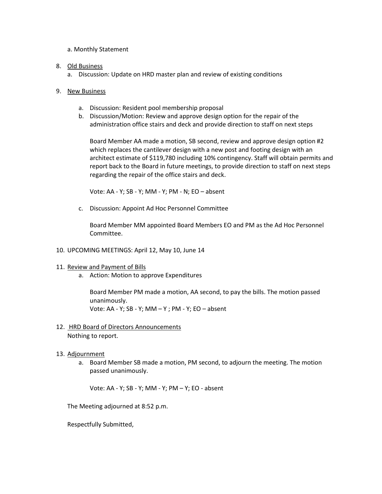- a. Monthly Statement
- 8. Old Business
	- a. Discussion: Update on HRD master plan and review of existing conditions
- 9. New Business
	- a. Discussion: Resident pool membership proposal
	- b. Discussion/Motion: Review and approve design option for the repair of the administration office stairs and deck and provide direction to staff on next steps

Board Member AA made a motion, SB second, review and approve design option #2 which replaces the cantilever design with a new post and footing design with an architect estimate of \$119,780 including 10% contingency. Staff will obtain permits and report back to the Board in future meetings, to provide direction to staff on next steps regarding the repair of the office stairs and deck.

Vote: AA - Y; SB - Y; MM - Y; PM - N; EO – absent

c. Discussion: Appoint Ad Hoc Personnel Committee

Board Member MM appointed Board Members EO and PM as the Ad Hoc Personnel Committee.

- 10. UPCOMING MEETINGS: April 12, May 10, June 14
- 11. Review and Payment of Bills
	- a. Action: Motion to approve Expenditures

Board Member PM made a motion, AA second, to pay the bills. The motion passed unanimously. Vote: AA - Y; SB - Y; MM – Y ; PM - Y; EO – absent

### 12. HRD Board of Directors Announcements Nothing to report.

### 13. Adjournment

a. Board Member SB made a motion, PM second, to adjourn the meeting. The motion passed unanimously.

Vote: AA - Y; SB - Y; MM - Y; PM – Y; EO - absent

The Meeting adjourned at 8:52 p.m.

Respectfully Submitted,